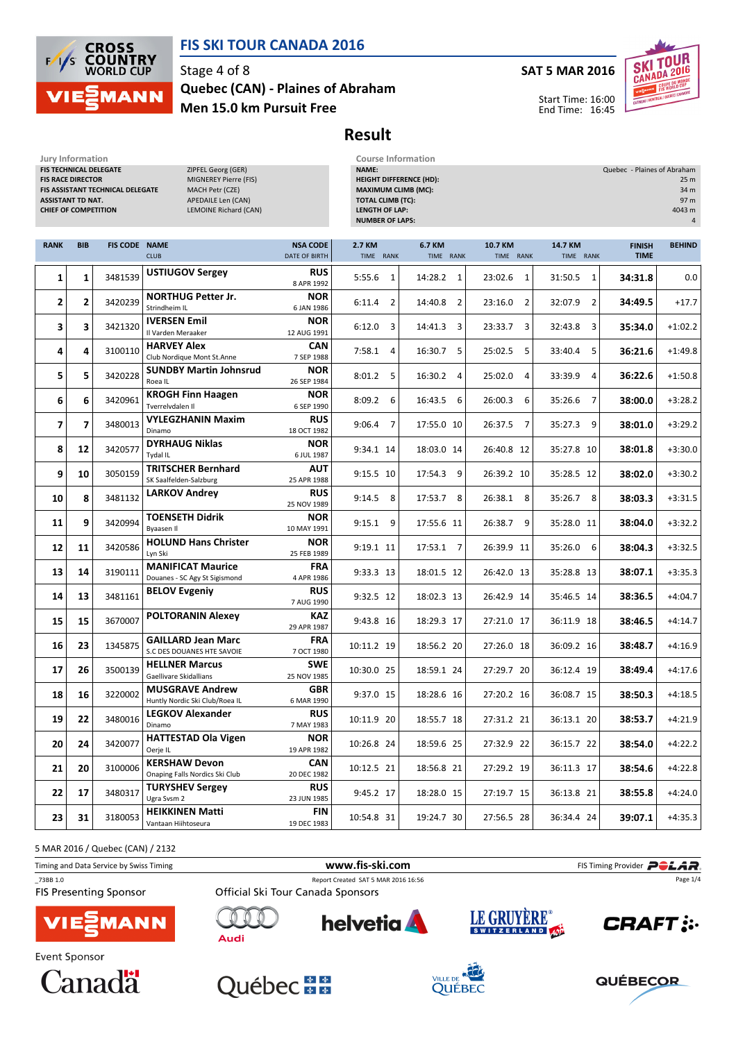

# FIS SKI TOUR CANADA 2016

Stage 4 of 8 Men 15.0 km Pursuit Free Quebec (CAN) - Plaines of Abraham

#### SAT 5 MAR 2016



Start Time: 16:00 End Time: 16:45

# Result

| Jury Information<br>FIS TECHNICAL DELEGATE<br><b>FIS RACE DIRECTOR</b><br><b>ASSISTANT TD NAT.</b><br><b>CHIEF OF COMPETITION</b> |                         | FIS ASSISTANT TECHNICAL DELEGATE | ZIPFEL Georg (GER)<br>MIGNEREY Pierre (FIS)<br>MACH Petr (CZE)<br>APEDAILE Len (CAN)<br>LEMOINE Richard (CAN) |                                  | <b>Course Information</b><br>NAME:<br><b>HEIGHT DIFFERENCE (HD):</b><br>MAXIMUM CLIMB (MC):<br><b>TOTAL CLIMB (TC):</b><br><b>LENGTH OF LAP:</b><br><b>NUMBER OF LAPS:</b> |                           |                         |                      | Quebec - Plaines of Abraham  | 25 m<br>34 m<br>97 m<br>4043 m<br>4 |
|-----------------------------------------------------------------------------------------------------------------------------------|-------------------------|----------------------------------|---------------------------------------------------------------------------------------------------------------|----------------------------------|----------------------------------------------------------------------------------------------------------------------------------------------------------------------------|---------------------------|-------------------------|----------------------|------------------------------|-------------------------------------|
| <b>RANK</b>                                                                                                                       | <b>BIB</b>              | <b>FIS CODE NAME</b>             | <b>CLUB</b>                                                                                                   | <b>NSA CODE</b><br>DATE OF BIRTH | 2.7 KM<br>TIME RANK                                                                                                                                                        | 6.7 KM<br>TIME RANK       | 10.7 KM<br>TIME RANK    | 14.7 KM<br>TIME RANK | <b>FINISH</b><br><b>TIME</b> | <b>BEHIND</b>                       |
| 1                                                                                                                                 | 1                       | 3481539                          | <b>USTIUGOV Sergey</b>                                                                                        | <b>RUS</b><br>8 APR 1992         | $5:55.6$ 1                                                                                                                                                                 | 14:28.2<br>1              | 23:02.6<br>$\mathbf{1}$ | 31:50.5<br>1         | 34:31.8                      | 0.0                                 |
| 2                                                                                                                                 | $\mathbf{2}$            | 3420239                          | <b>NORTHUG Petter Jr.</b><br>Strindheim IL                                                                    | <b>NOR</b><br>6 JAN 1986         | 6:11.4<br>2                                                                                                                                                                | 14:40.8<br>$\overline{2}$ | 23:16.0<br>2            | 32:07.9<br>2         | 34:49.5                      | $+17.7$                             |
| 3                                                                                                                                 | 3                       | 3421320                          | <b>IVERSEN Emil</b><br>Il Varden Meraaker                                                                     | <b>NOR</b><br>12 AUG 1991        | 6:12.0<br>3                                                                                                                                                                | 14:41.3<br>3              | 23:33.7<br>3            | 3<br>32:43.8         | 35:34.0                      | $+1:02.2$                           |
| 4                                                                                                                                 | 4                       | 3100110                          | <b>HARVEY Alex</b><br>Club Nordique Mont St.Anne                                                              | <b>CAN</b><br>7 SEP 1988         | $7:58.1$ 4                                                                                                                                                                 | 16:30.7 5                 | 25:02.5<br>5            | 5<br>33:40.4         | 36:21.6                      | $+1:49.8$                           |
| 5                                                                                                                                 | 5                       | 3420228                          | <b>SUNDBY Martin Johnsrud</b><br>Roea <sub>IL</sub>                                                           | <b>NOR</b><br>26 SEP 1984        | $8:01.2$ 5                                                                                                                                                                 | 16:30.2<br>$\overline{4}$ | 25:02.0<br>4            | 33:39.9<br>4         | 36:22.6                      | $+1:50.8$                           |
| 6                                                                                                                                 | 6                       | 3420961                          | <b>KROGH Finn Haagen</b><br>Tverrelvdalen II                                                                  | <b>NOR</b><br>6 SEP 1990         | 8:09.2<br>6                                                                                                                                                                | 16:43.5<br>6              | 26:00.3<br>6            | 7<br>35:26.6         | 38:00.0                      | $+3:28.2$                           |
| $\overline{\mathbf{z}}$                                                                                                           | $\overline{\mathbf{z}}$ | 3480013                          | <b>VYLEGZHANIN Maxim</b><br>Dinamo                                                                            | <b>RUS</b><br>18 OCT 1982        | $9:06.4$ 7                                                                                                                                                                 | 17:55.0 10                | 7<br>26:37.5            | 9<br>35:27.3         | 38:01.0                      | $+3:29.2$                           |
| 8                                                                                                                                 | 12                      | 3420577                          | <b>DYRHAUG Niklas</b><br><b>Tydal IL</b>                                                                      | <b>NOR</b><br>6 JUL 1987         | 9:34.1 14                                                                                                                                                                  | 18:03.0 14                | 26:40.8 12              | 35:27.8 10           | 38:01.8                      | $+3:30.0$                           |
| 9                                                                                                                                 | 10                      | 3050159                          | <b>TRITSCHER Bernhard</b><br>SK Saalfelden-Salzburg                                                           | <b>AUT</b><br>25 APR 1988        | 9:15.5 10                                                                                                                                                                  | 17:54.3 9                 | 26:39.2 10              | 35:28.5 12           | 38:02.0                      | $+3:30.2$                           |
| 10                                                                                                                                | 8                       | 3481132                          | <b>LARKOV Andrey</b>                                                                                          | <b>RUS</b><br>25 NOV 1989        | $9:14.5$ 8                                                                                                                                                                 | 17:53.7 8                 | 26:38.1<br>8            | 8<br>35:26.7         | 38:03.3                      | $+3:31.5$                           |
| 11                                                                                                                                | 9                       | 3420994                          | <b>TOENSETH Didrik</b><br>Byaasen II                                                                          | <b>NOR</b><br>10 MAY 1991        | $9:15.1$ 9                                                                                                                                                                 | 17:55.6 11                | 26:38.7<br>9            | 35:28.0 11           | 38:04.0                      | $+3:32.2$                           |
| 12                                                                                                                                | 11                      | 3420586                          | <b>HOLUND Hans Christer</b><br>Lyn Ski                                                                        | <b>NOR</b><br>25 FEB 1989        | 9:19.1 11                                                                                                                                                                  | 17:53.1 7                 | 26:39.9 11              | 35:26.0<br>6         | 38:04.3                      | $+3:32.5$                           |
| 13                                                                                                                                | 14                      | 3190111                          | <b>MANIFICAT Maurice</b><br>Douanes - SC Agy St Sigismond                                                     | <b>FRA</b><br>4 APR 1986         | 9:33.3 13                                                                                                                                                                  | 18:01.5 12                | 26:42.0 13              | 35:28.8 13           | 38:07.1                      | $+3:35.3$                           |
| 14                                                                                                                                | 13                      | 3481161                          | <b>BELOV Evgeniy</b>                                                                                          | <b>RUS</b><br>7 AUG 1990         | 9:32.5 12                                                                                                                                                                  | 18:02.3 13                | 26:42.9 14              | 35:46.5 14           | 38:36.5                      | $+4:04.7$                           |
| 15                                                                                                                                | 15                      | 3670007                          | <b>POLTORANIN Alexey</b>                                                                                      | <b>KAZ</b><br>29 APR 1987        | 9:43.8 16                                                                                                                                                                  | 18:29.3 17                | 27:21.0 17              | 36:11.9 18           | 38:46.5                      | $+4:14.7$                           |
| 16                                                                                                                                | 23                      | 1345875                          | <b>GAILLARD Jean Marc</b><br>S.C DES DOUANES HTE SAVOIE                                                       | <b>FRA</b><br>7 OCT 1980         | 10:11.2 19                                                                                                                                                                 | 18:56.2 20                | 27:26.0 18              | 36:09.2 16           | 38:48.7                      | $+4:16.9$                           |
| 17                                                                                                                                | 26                      | 3500139                          | <b>HELLNER Marcus</b><br>Gaellivare Skidallians                                                               | <b>SWE</b><br>25 NOV 1985        | 10:30.0 25                                                                                                                                                                 | 18:59.1 24                | 27:29.7 20              | 36:12.4 19           | 38:49.4                      | $+4:17.6$                           |
| 18                                                                                                                                | 16                      | 3220002                          | <b>MUSGRAVE Andrew</b><br>Huntly Nordic Ski Club/Roea IL                                                      | <b>GBR</b><br>6 MAR 1990         | 9:37.0 15                                                                                                                                                                  | 18:28.6 16                | 27:20.2 16              | 36:08.7 15           | 38:50.3                      | $+4:18.5$                           |
| 19                                                                                                                                | 22                      | 3480016                          | <b>LEGKOV Alexander</b><br>Dinamo                                                                             | <b>RUS</b><br>7 MAY 1983         | 10:11.9 20                                                                                                                                                                 | 18:55.7 18                | 27:31.2 21              | 36:13.1 20           | 38:53.7                      | $+4:21.9$                           |
| 20                                                                                                                                | 24                      | 3420077                          | <b>HATTESTAD Ola Vigen</b><br>Oerje IL                                                                        | <b>NOR</b><br>19 APR 1982        | 10:26.8 24                                                                                                                                                                 | 18:59.6 25                | 27:32.9 22              | 36:15.7 22           | 38:54.0                      | $+4:22.2$                           |
| 21                                                                                                                                | 20                      | 3100006                          | <b>KERSHAW Devon</b><br>Onaping Falls Nordics Ski Club                                                        | <b>CAN</b><br>20 DEC 1982        | 10:12.5 21                                                                                                                                                                 | 18:56.8 21                | 27:29.2 19              | 36:11.3 17           | 38:54.6                      | $+4:22.8$                           |
| 22                                                                                                                                | 17                      | 3480317                          | <b>TURYSHEV Sergey</b><br>Ugra Svsm 2                                                                         | <b>RUS</b><br>23 JUN 1985        | 9:45.2 17                                                                                                                                                                  | 18:28.0 15                | 27:19.7 15              | 36:13.8 21           | 38:55.8                      | $+4:24.0$                           |
| 23                                                                                                                                | 31                      | 3180053                          | <b>HEIKKINEN Matti</b><br>Vantaan Hiihtoseura                                                                 | FIN<br>19 DEC 1983               | 10:54.8 31                                                                                                                                                                 | 19:24.7 30                | 27:56.5 28              | 36:34.4 24           | 39:07.1                      | $+4:35.3$                           |

5 MAR 2016 / Quebec (CAN) / 2132

Timing and Data Service by Swiss Timing **Example 20** and Data Service by Swiss Timing Provider **POLAR** \_73BB 1.0 Report Created SAT 5 MAR 2016 16:56 Page 1/4**FIS Presenting Sponsor** Official Ski Tour Canada Sponsors LE GRUYÈRE® **helvetia CRAFT: MANN Audi** 







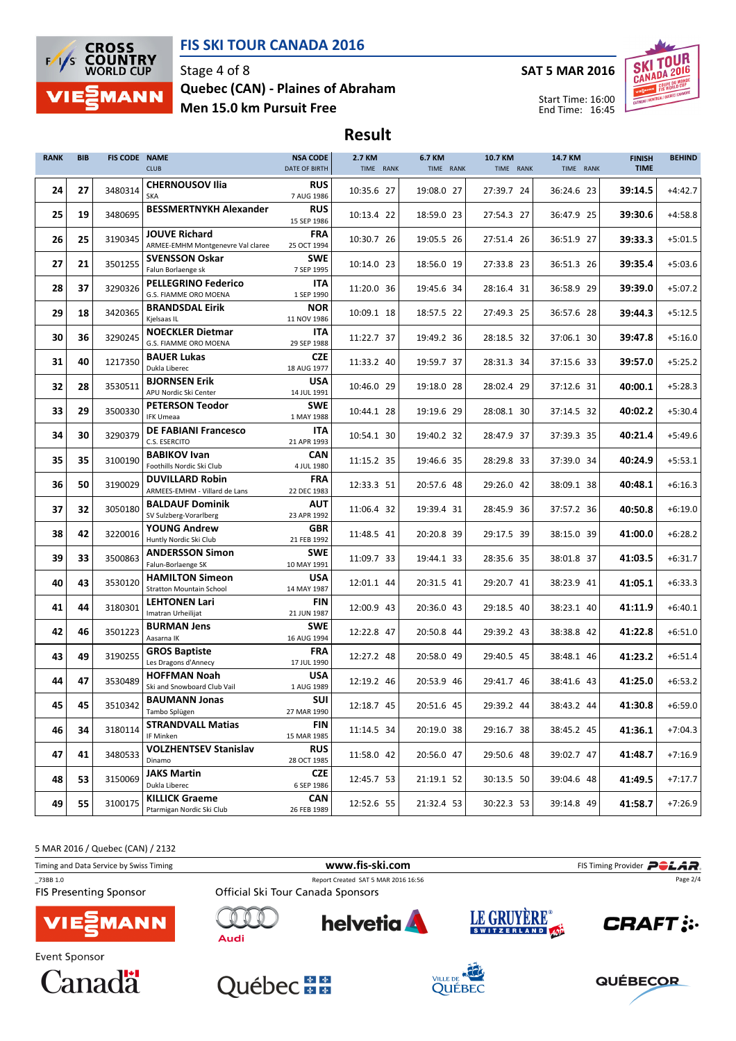



### Stage 4 of 8 Men 15.0 km Pursuit Free Quebec (CAN) - Plaines of Abraham

### SAT 5 MAR 2016



Start Time: 16:00 End Time: 16:45

Result

| <b>RANK</b> | <b>BIB</b> | <b>FIS CODE NAME</b> | <b>CLUB</b>                                                         | <b>NSA CODE</b><br>DATE OF BIRTH        | 2.7 KM<br>TIME RANK | <b>6.7 KM</b><br>TIME RANK | 10.7 KM<br>TIME RANK | 14.7 KM<br>TIME RANK | <b>FINISH</b><br><b>TIME</b> | <b>BEHIND</b> |
|-------------|------------|----------------------|---------------------------------------------------------------------|-----------------------------------------|---------------------|----------------------------|----------------------|----------------------|------------------------------|---------------|
| 24          | 27         | 3480314              | <b>CHERNOUSOV Ilia</b><br>SKA                                       | <b>RUS</b><br>7 AUG 1986                | 10:35.6 27          | 19:08.0 27                 | 27:39.7 24           | 36:24.6 23           | 39:14.5                      | $+4:42.7$     |
| 25          | 19         | 3480695              | <b>BESSMERTNYKH Alexander</b>                                       | <b>RUS</b><br>15 SEP 1986               | 10:13.4 22          | 18:59.0 23                 | 27:54.3 27           | 36:47.9 25           | 39:30.6                      | $+4:58.8$     |
| 26          | 25         | 3190345              | <b>JOUVE Richard</b><br>ARMEE-EMHM Montgenevre Val claree           | <b>FRA</b><br>25 OCT 1994               | 10:30.7 26          | 19:05.5 26                 | 27:51.4 26           | 36:51.9 27           | 39:33.3                      | $+5:01.5$     |
| 27          | 21         | 3501255              | <b>SVENSSON Oskar</b><br>Falun Borlaenge sk                         | <b>SWE</b><br>7 SEP 1995                | 10:14.0 23          | 18:56.0 19                 | 27:33.8 23           | 36:51.3 26           | 39:35.4                      | $+5:03.6$     |
| 28          | 37         | 3290326              | <b>PELLEGRINO Federico</b><br>G.S. FIAMME ORO MOENA                 | ITA<br>1 SEP 1990                       | 11:20.0 36          | 19:45.6 34                 | 28:16.4 31           | 36:58.9 29           | 39:39.0                      | $+5:07.2$     |
| 29          | 18         | 3420365              | <b>BRANDSDAL Eirik</b><br>Kjelsaas IL                               | <b>NOR</b><br>11 NOV 1986               | 10:09.1 18          | 18:57.5 22                 | 27:49.3 25           | 36:57.6 28           | 39:44.3                      | $+5:12.5$     |
| 30          | 36         | 3290245              | <b>NOECKLER Dietmar</b><br>G.S. FIAMME ORO MOENA                    | <b>ITA</b><br>29 SEP 1988               | 11:22.7 37          | 19:49.2 36                 | 28:18.5 32           | 37:06.1 30           | 39:47.8                      | $+5:16.0$     |
| 31          | 40         | 1217350              | <b>BAUER Lukas</b><br>Dukla Liberec                                 | <b>CZE</b><br>18 AUG 1977               | 11:33.2 40          | 19:59.7 37                 | 28:31.3 34           | 37:15.6 33           | 39:57.0                      | $+5:25.2$     |
| 32          | 28         | 3530511              | <b>BJORNSEN Erik</b><br>APU Nordic Ski Center                       | <b>USA</b><br>14 JUL 1991               | 10:46.0 29          | 19:18.0 28                 | 28:02.4 29           | 37:12.6 31           | 40:00.1                      | $+5:28.3$     |
| 33          | 29         | 3500330              | <b>PETERSON Teodor</b><br><b>IFK Umeaa</b>                          | <b>SWE</b><br>1 MAY 1988                | 10:44.1 28          | 19:19.6 29                 | 28:08.1 30           | 37:14.5 32           | 40:02.2                      | $+5:30.4$     |
| 34          | 30         | 3290379              | <b>DE FABIANI Francesco</b><br>C.S. ESERCITO                        | ITA<br>21 APR 1993                      | 10:54.1 30          | 19:40.2 32                 | 28:47.9 37           | 37:39.3 35           | 40:21.4                      | $+5:49.6$     |
| 35          | 35         | 3100190              | <b>BABIKOV Ivan</b><br>Foothills Nordic Ski Club                    | <b>CAN</b><br>4 JUL 1980                | 11:15.2 35          | 19:46.6 35                 | 28:29.8 33           | 37:39.0 34           | 40:24.9                      | $+5:53.1$     |
| 36          | 50         | 3190029              | <b>DUVILLARD Robin</b><br>ARMEES-EMHM - Villard de Lans             | <b>FRA</b><br>22 DEC 1983               | 12:33.3 51          | 20:57.6 48                 | 29:26.0 42           | 38:09.1 38           | 40:48.1                      | $+6:16.3$     |
| 37          | 32         | 3050180              | <b>BALDAUF Dominik</b><br>SV Sulzberg-Vorarlberg                    | <b>AUT</b><br>23 APR 1992               | 11:06.4 32          | 19:39.4 31                 | 28:45.9 36           | 37:57.2 36           | 40:50.8                      | $+6:19.0$     |
| 38          | 42         | 3220016              | <b>YOUNG Andrew</b><br>Huntly Nordic Ski Club                       | <b>GBR</b><br>21 FEB 1992               | 11:48.5 41          | 20:20.8 39                 | 29:17.5 39           | 38:15.0 39           | 41:00.0                      | $+6:28.2$     |
| 39          | 33         | 3500863              | <b>ANDERSSON Simon</b><br>Falun-Borlaenge SK                        | <b>SWE</b><br>10 MAY 1991               | 11:09.7 33          | 19:44.1 33                 | 28:35.6 35           | 38:01.8 37           | 41:03.5                      | $+6:31.7$     |
| 40          | 43         | 3530120              | <b>HAMILTON Simeon</b><br><b>Stratton Mountain School</b>           | <b>USA</b><br>14 MAY 1987               | 12:01.1 44          | 20:31.5 41                 | 29:20.7 41           | 38:23.9 41           | 41:05.1                      | $+6:33.3$     |
| 41          | 44         | 3180301              | <b>LEHTONEN Lari</b><br>Imatran Urheilijat                          | <b>FIN</b><br>21 JUN 1987               | 12:00.9 43          | 20:36.0 43                 | 29:18.5 40           | 38:23.1 40           | 41:11.9                      | $+6:40.1$     |
| 42          | 46         | 3501223              | <b>BURMAN Jens</b><br>Aasarna IK                                    | <b>SWE</b><br>16 AUG 1994               | 12:22.8 47          | 20:50.8 44                 | 29:39.2 43           | 38:38.8 42           | 41:22.8                      | $+6:51.0$     |
| 43          | 49         | 3190255              | <b>GROS Baptiste</b><br>Les Dragons d'Annecy<br><b>HOFFMAN Noah</b> | <b>FRA</b><br>17 JUL 1990<br><b>USA</b> | 12:27.2 48          | 20:58.0 49                 | 29:40.5 45           | 38:48.1 46           | 41:23.2                      | $+6:51.4$     |
| 44          | 47         | 3530489              | Ski and Snowboard Club Vail<br><b>BAUMANN Jonas</b>                 | 1 AUG 1989<br>SUI                       | 12:19.2 46          | 20:53.9 46                 | 29:41.7 46           | 38:41.6 43           | 41:25.0                      | $+6:53.2$     |
| 45          | 45         | 3510342              | Tambo Splügen<br><b>STRANDVALL Matias</b>                           | 27 MAR 1990                             | 12:18.7 45          | 20:51.6 45                 | 29:39.2 44           | 38:43.2 44           | 41:30.8                      | $+6:59.0$     |
| 46          | 34         | 3180114              | IF Minken<br><b>VOLZHENTSEV Stanislav</b>                           | FIN<br>15 MAR 1985<br><b>RUS</b>        | 11:14.5 34          | 20:19.0 38                 | 29:16.7 38           | 38:45.2 45           | 41:36.1                      | $+7:04.3$     |
| 47          | 41         | 3480533              | Dinamo<br><b>JAKS Martin</b>                                        | 28 OCT 1985                             | 11:58.0 42          | 20:56.0 47                 | 29:50.6 48           | 39:02.7 47           | 41:48.7                      | $+7:16.9$     |
| 48          | 53         | 3150069              | Dukla Liberec                                                       | <b>CZE</b><br>6 SEP 1986                | 12:45.7 53          | 21:19.1 52                 | 30:13.5 50           | 39:04.6 48           | 41:49.5                      | $+7:17.7$     |
| 49          | 55         | 3100175              | <b>KILLICK Graeme</b><br>Ptarmigan Nordic Ski Club                  | CAN<br>26 FEB 1989                      | 12:52.6 55          | 21:32.4 53                 | 30:22.3 53           | 39:14.8 49           | 41:58.7                      | $+7:26.9$     |

5 MAR 2016 / Quebec (CAN) / 2132

Timing and Data Service by Swiss Timing **Filter and Data Service by Swiss Timing Provider** \_73BB 1.0 Report Created SAT 5 MAR 2016 16:56 Page 2/4**FIS Presenting Sponsor** Official Ski Tour Canada Sponsors LE GRUYÈRE® **helvetia CRAFT:** MANN **Audi** Event Sponsor







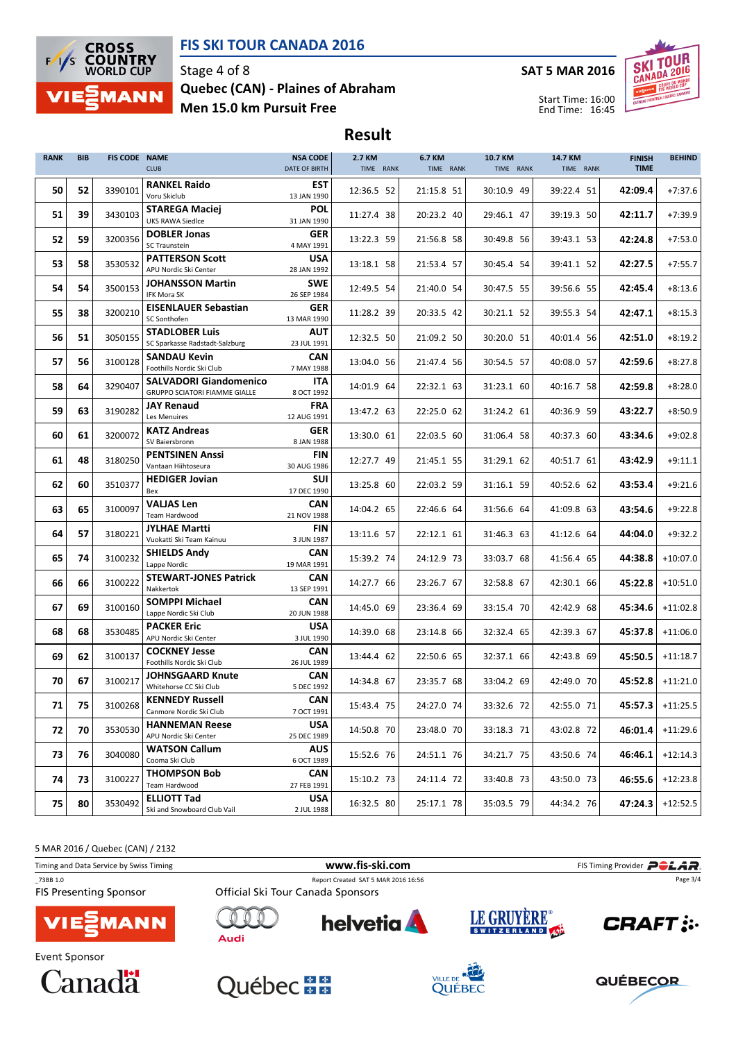



### Stage 4 of 8 Men 15.0 km Pursuit Free Quebec (CAN) - Plaines of Abraham

#### SAT 5 MAR 2016



Start Time: 16:00 End Time: 16:45

Result

| <b>RANK</b> | <b>BIB</b> | <b>FIS CODE NAME</b> | <b>CLUB</b>                                                    | <b>NSA CODE</b><br>DATE OF BIRTH | 2.7 KM<br>TIME RANK | 6.7 KM<br>TIME RANK | 10.7 KM<br>TIME RANK | 14.7 KM<br>TIME RANK | <b>FINISH</b><br><b>TIME</b> | <b>BEHIND</b>      |
|-------------|------------|----------------------|----------------------------------------------------------------|----------------------------------|---------------------|---------------------|----------------------|----------------------|------------------------------|--------------------|
| 50          | 52         | 3390101              | <b>RANKEL Raido</b><br>Voru Skiclub                            | <b>EST</b><br>13 JAN 1990        | 12:36.5 52          | 21:15.8 51          | 30:10.9 49           | 39:22.4 51           | 42:09.4                      | $+7:37.6$          |
| 51          | 39         | 3430103              | <b>STAREGA Maciej</b><br><b>UKS RAWA Siedlce</b>               | <b>POL</b><br>31 JAN 1990        | 11:27.4 38          | 20:23.2 40          | 29:46.1 47           | 39:19.3 50           | 42:11.7                      | $+7:39.9$          |
| 52          | 59         | 3200356              | <b>DOBLER Jonas</b><br>SC Traunstein                           | GER<br>4 MAY 1991                | 13:22.3 59          | 21:56.8 58          | 30:49.8 56           | 39:43.1 53           | 42:24.8                      | $+7:53.0$          |
| 53          | 58         | 3530532              | <b>PATTERSON Scott</b><br>APU Nordic Ski Center                | <b>USA</b><br>28 JAN 1992        | 13:18.1 58          | 21:53.4 57          | 30:45.4 54           | 39:41.1 52           | 42:27.5                      | $+7:55.7$          |
| 54          | 54         | 3500153              | <b>JOHANSSON Martin</b><br><b>IFK Mora SK</b>                  | <b>SWE</b><br>26 SEP 1984        | 12:49.5 54          | 21:40.0 54          | 30:47.5 55           | 39:56.6 55           | 42:45.4                      | $+8:13.6$          |
| 55          | 38         | 3200210              | <b>EISENLAUER Sebastian</b><br>SC Sonthofen                    | <b>GER</b><br>13 MAR 1990        | 11:28.2 39          | 20:33.5 42          | 30:21.1 52           | 39:55.3 54           | 42:47.1                      | $+8:15.3$          |
| 56          | 51         | 3050155              | <b>STADLOBER Luis</b><br>SC Sparkasse Radstadt-Salzburg        | <b>AUT</b><br>23 JUL 1991        | 12:32.5 50          | 21:09.2 50          | 30:20.0 51           | 40:01.4 56           | 42:51.0                      | $+8:19.2$          |
| 57          | 56         | 3100128              | <b>SANDAU Kevin</b><br>Foothills Nordic Ski Club               | <b>CAN</b><br>7 MAY 1988         | 13:04.0 56          | 21:47.4 56          | 30:54.5 57           | 40:08.0 57           | 42:59.6                      | $+8:27.8$          |
| 58          | 64         | 3290407              | <b>SALVADORI Giandomenico</b><br>GRUPPO SCIATORI FIAMME GIALLE | ITA<br>8 OCT 1992                | 14:01.9 64          | 22:32.1 63          | 31:23.1 60           | 40:16.7 58           | 42:59.8                      | $+8:28.0$          |
| 59          | 63         | 3190282              | <b>JAY Renaud</b><br>Les Menuires                              | <b>FRA</b><br>12 AUG 1991        | 13:47.2 63          | 22:25.0 62          | 31:24.2 61           | 40:36.9 59           | 43:22.7                      | $+8:50.9$          |
| 60          | 61         | 3200072              | <b>KATZ Andreas</b><br>SV Baiersbronn                          | GER<br>8 JAN 1988                | 13:30.0 61          | 22:03.5 60          | 31:06.4 58           | 40:37.3 60           | 43:34.6                      | $+9:02.8$          |
| 61          | 48         | 3180250              | <b>PENTSINEN Anssi</b><br>Vantaan Hiihtoseura                  | FIN<br>30 AUG 1986               | 12:27.7 49          | 21:45.1 55          | 31:29.1 62           | 40:51.7 61           | 43:42.9                      | $+9:11.1$          |
| 62          | 60         | 3510377              | <b>HEDIGER Jovian</b><br>Bex                                   | <b>SUI</b><br>17 DEC 1990        | 13:25.8 60          | 22:03.2 59          | 31:16.1 59           | 40:52.6 62           | 43:53.4                      | $+9:21.6$          |
| 63          | 65         | 3100097              | <b>VALJAS Len</b><br>Team Hardwood                             | <b>CAN</b><br>21 NOV 1988        | 14:04.2 65          | 22:46.6 64          | 31:56.6 64           | 41:09.8 63           | 43:54.6                      | $+9:22.8$          |
| 64          | 57         | 3180221              | <b>JYLHAE Martti</b><br>Vuokatti Ski Team Kainuu               | <b>FIN</b><br>3 JUN 1987         | 13:11.6 57          | 22:12.1 61          | 31:46.3 63           | 41:12.6 64           | 44:04.0                      | $+9:32.2$          |
| 65          | 74         | 3100232              | <b>SHIELDS Andy</b><br>Lappe Nordic                            | <b>CAN</b><br>19 MAR 1991        | 15:39.2 74          | 24:12.9 73          | 33:03.7 68           | 41:56.4 65           | 44:38.8                      | $+10:07.0$         |
| 66          | 66         | 3100222              | <b>STEWART-JONES Patrick</b><br>Nakkertok                      | <b>CAN</b><br>13 SEP 1991        | 14:27.7 66          | 23:26.7 67          | 32:58.8 67           | 42:30.1 66           | 45:22.8                      | $+10:51.0$         |
| 67          | 69         | 3100160              | <b>SOMPPI Michael</b><br>Lappe Nordic Ski Club                 | <b>CAN</b><br>20 JUN 1988        | 14:45.0 69          | 23:36.4 69          | 33:15.4 70           | 42:42.9 68           | 45:34.6                      | $+11:02.8$         |
| 68          | 68         | 3530485              | <b>PACKER Eric</b><br>APU Nordic Ski Center                    | <b>USA</b><br>3 JUL 1990         | 14:39.0 68          | 23:14.8 66          | 32:32.4 65           | 42:39.3 67           | 45:37.8                      | $+11:06.0$         |
| 69          | 62         | 3100137              | <b>COCKNEY Jesse</b><br>Foothills Nordic Ski Club              | <b>CAN</b><br>26 JUL 1989        | 13:44.4 62          | 22:50.6 65          | 32:37.1 66           | 42:43.8 69           | 45:50.5                      | $+11:18.7$         |
| 70          | 67         | 3100217              | <b>JOHNSGAARD Knute</b><br>Whitehorse CC Ski Club              | <b>CAN</b><br>5 DEC 1992         | 14:34.8 67          | 23:35.7 68          | 33:04.2 69           | 42:49.0 70           | 45:52.8                      | $+11:21.0$         |
| 71          | 75         | 3100268              | <b>KENNEDY Russell</b><br>Canmore Nordic Ski Club              | <b>CAN</b><br>7 OCT 1991         | 15:43.4 75          | 24:27.0 74          | 33:32.6 72           | 42:55.0 71           |                              | $45:57.3$ +11:25.5 |
| 72          | 70         | 3530530              | <b>HANNEMAN Reese</b><br>APU Nordic Ski Center                 | <b>USA</b><br>25 DEC 1989        | 14:50.8 70          | 23:48.0 70          | 33:18.3 71           | 43:02.8 72           | 46:01.4                      | $+11:29.6$         |
| 73          | 76         | 3040080              | <b>WATSON Callum</b><br>Cooma Ski Club                         | AUS<br>6 OCT 1989                | 15:52.6 76          | 24:51.1 76          | 34:21.7 75           | 43:50.6 74           | 46:46.1                      | $+12:14.3$         |
| 74          | 73         | 3100227              | <b>THOMPSON Bob</b><br>Team Hardwood                           | <b>CAN</b><br>27 FEB 1991        | 15:10.2 73          | 24:11.4 72          | 33:40.8 73           | 43:50.0 73           | 46:55.6                      | $+12:23.8$         |
| 75          | 80         | 3530492              | <b>ELLIOTT Tad</b><br>Ski and Snowboard Club Vail              | <b>USA</b><br>2 JUL 1988         | 16:32.5 80          | 25:17.1 78          | 35:03.5 79           | 44:34.2 76           | 47:24.3                      | $+12:52.5$         |

5 MAR 2016 / Quebec (CAN) / 2132

Timing and Data Service by Swiss Timing **Filter and Data Service by Swiss Timing Provider** PCLAR \_73BB 1.0 Report Created SAT 5 MAR 2016 16:56 Page 3/4**FIS Presenting Sponsor** Official Ski Tour Canada Sponsors LE GRUYÈRE® **helvetia CRAFT:** MANN **Audi Event Sponsor**